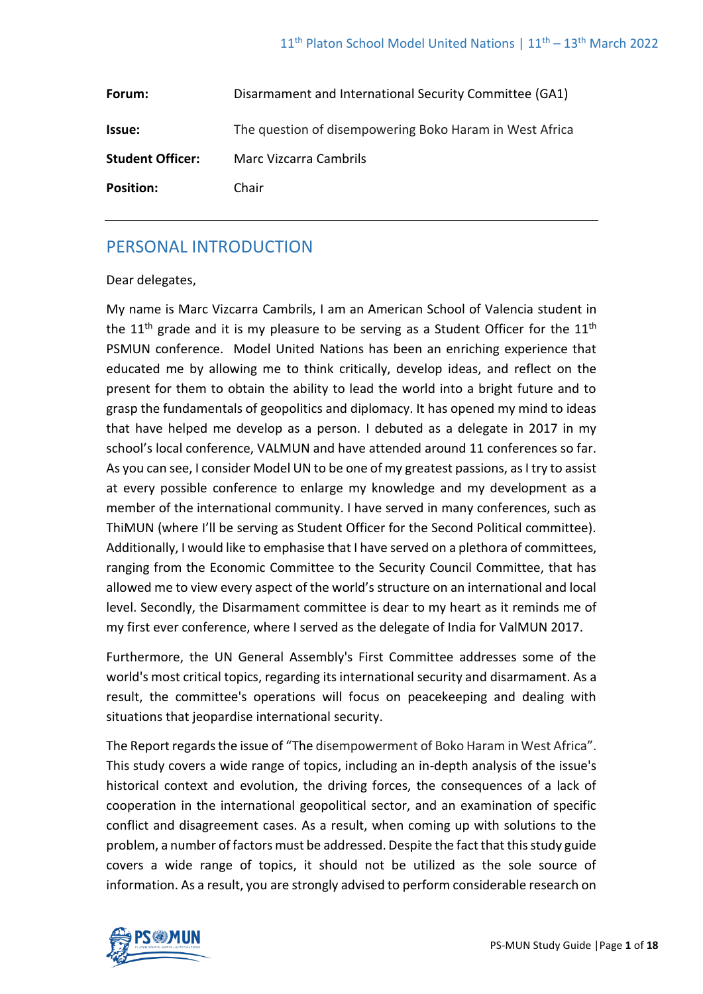| Forum:                  | Disarmament and International Security Committee (GA1)  |
|-------------------------|---------------------------------------------------------|
| <b>Issue:</b>           | The question of disempowering Boko Haram in West Africa |
| <b>Student Officer:</b> | Marc Vizcarra Cambrils                                  |
| <b>Position:</b>        | Chair                                                   |

# PERSONAL INTRODUCTION

Dear delegates,

My name is Marc Vizcarra Cambrils, I am an American School of Valencia student in the 11<sup>th</sup> grade and it is my pleasure to be serving as a Student Officer for the 11<sup>th</sup> PSMUN conference. Model United Nations has been an enriching experience that educated me by allowing me to think critically, develop ideas, and reflect on the present for them to obtain the ability to lead the world into a bright future and to grasp the fundamentals of geopolitics and diplomacy. It has opened my mind to ideas that have helped me develop as a person. I debuted as a delegate in 2017 in my school's local conference, VALMUN and have attended around 11 conferences so far. As you can see, I consider Model UN to be one of my greatest passions, as I try to assist at every possible conference to enlarge my knowledge and my development as a member of the international community. I have served in many conferences, such as ThiMUN (where I'll be serving as Student Officer for the Second Political committee). Additionally, I would like to emphasise that I have served on a plethora of committees, ranging from the Economic Committee to the Security Council Committee, that has allowed me to view every aspect of the world's structure on an international and local level. Secondly, the Disarmament committee is dear to my heart as it reminds me of my first ever conference, where I served as the delegate of India for ValMUN 2017.

Furthermore, the UN General Assembly's First Committee addresses some of the world's most critical topics, regarding its international security and disarmament. As a result, the committee's operations will focus on peacekeeping and dealing with situations that jeopardise international security.

The Report regards the issue of "The disempowerment of Boko Haram in West Africa". This study covers a wide range of topics, including an in-depth analysis of the issue's historical context and evolution, the driving forces, the consequences of a lack of cooperation in the international geopolitical sector, and an examination of specific conflict and disagreement cases. As a result, when coming up with solutions to the problem, a number of factors must be addressed. Despite the fact that this study guide covers a wide range of topics, it should not be utilized as the sole source of information. As a result, you are strongly advised to perform considerable research on

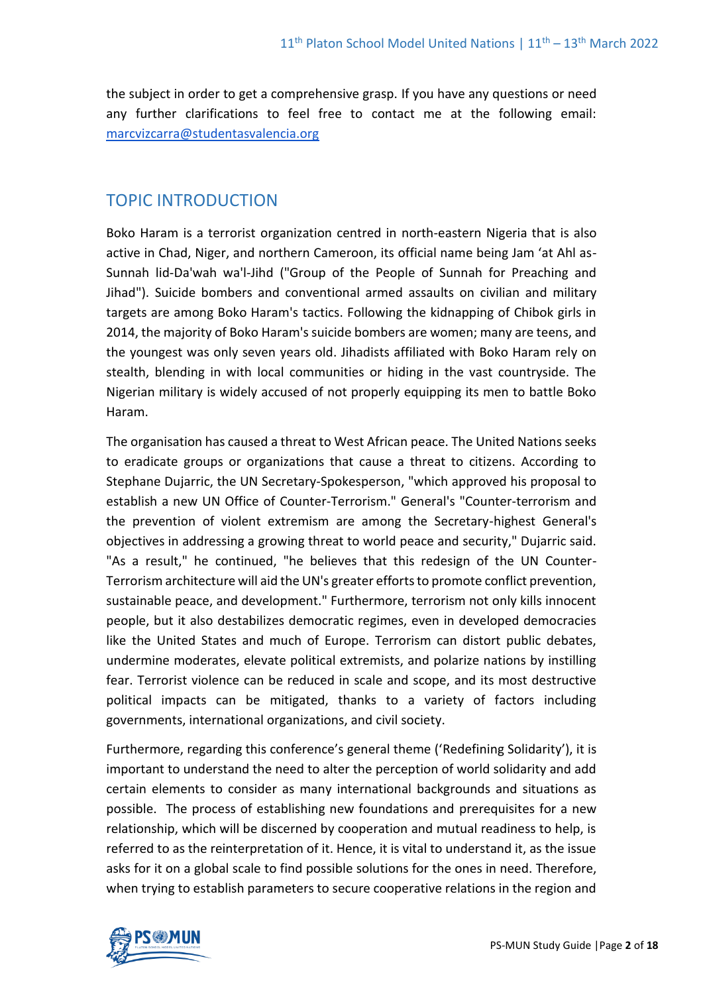the subject in order to get a comprehensive grasp. If you have any questions or need any further clarifications to feel free to contact me at the following email: [marcvizcarra@studentasvalencia.org](mailto:marcvizcarra@studentasvalencia.org)

# TOPIC INTRODUCTION

Boko Haram is a terrorist organization centred in north-eastern Nigeria that is also active in Chad, Niger, and northern Cameroon, its official name being Jam 'at Ahl as-Sunnah lid-Da'wah wa'l-Jihd ("Group of the People of Sunnah for Preaching and Jihad"). Suicide bombers and conventional armed assaults on civilian and military targets are among Boko Haram's tactics. Following the kidnapping of Chibok girls in 2014, the majority of Boko Haram's suicide bombers are women; many are teens, and the youngest was only seven years old. Jihadists affiliated with Boko Haram rely on stealth, blending in with local communities or hiding in the vast countryside. The Nigerian military is widely accused of not properly equipping its men to battle Boko Haram.

The organisation has caused a threat to West African peace. The United Nations seeks to eradicate groups or organizations that cause a threat to citizens. According to Stephane Dujarric, the UN Secretary-Spokesperson, "which approved his proposal to establish a new UN Office of Counter-Terrorism." General's "Counter-terrorism and the prevention of violent extremism are among the Secretary-highest General's objectives in addressing a growing threat to world peace and security," Dujarric said. "As a result," he continued, "he believes that this redesign of the UN Counter-Terrorism architecture will aid the UN's greater efforts to promote conflict prevention, sustainable peace, and development." Furthermore, terrorism not only kills innocent people, but it also destabilizes democratic regimes, even in developed democracies like the United States and much of Europe. Terrorism can distort public debates, undermine moderates, elevate political extremists, and polarize nations by instilling fear. Terrorist violence can be reduced in scale and scope, and its most destructive political impacts can be mitigated, thanks to a variety of factors including governments, international organizations, and civil society.

Furthermore, regarding this conference's general theme ('Redefining Solidarity'), it is important to understand the need to alter the perception of world solidarity and add certain elements to consider as many international backgrounds and situations as possible. The process of establishing new foundations and prerequisites for a new relationship, which will be discerned by cooperation and mutual readiness to help, is referred to as the reinterpretation of it. Hence, it is vital to understand it, as the issue asks for it on a global scale to find possible solutions for the ones in need. Therefore, when trying to establish parameters to secure cooperative relations in the region and

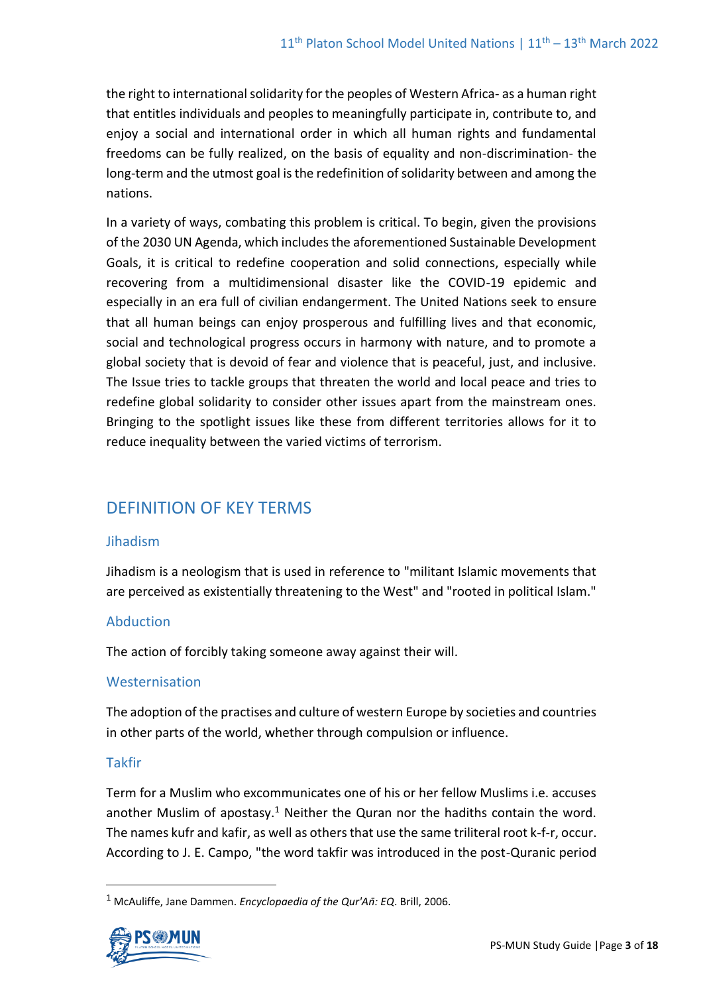the right to international solidarity for the peoples of Western Africa- as a human right that entitles individuals and peoples to meaningfully participate in, contribute to, and enjoy a social and international order in which all human rights and fundamental freedoms can be fully realized, on the basis of equality and non-discrimination- the long-term and the utmost goal is the redefinition of solidarity between and among the nations.

In a variety of ways, combating this problem is critical. To begin, given the provisions of the 2030 UN Agenda, which includes the aforementioned Sustainable Development Goals, it is critical to redefine cooperation and solid connections, especially while recovering from a multidimensional disaster like the COVID-19 epidemic and especially in an era full of civilian endangerment. The United Nations seek to ensure that all human beings can enjoy prosperous and fulfilling lives and that economic, social and technological progress occurs in harmony with nature, and to promote a global society that is devoid of fear and violence that is peaceful, just, and inclusive. The Issue tries to tackle groups that threaten the world and local peace and tries to redefine global solidarity to consider other issues apart from the mainstream ones. Bringing to the spotlight issues like these from different territories allows for it to reduce inequality between the varied victims of terrorism.

# DEFINITION OF KEY TERMS

# Jihadism

Jihadism is a neologism that is used in reference to "militant Islamic movements that are perceived as existentially threatening to the West" and "rooted in political Islam."

# Abduction

The action of forcibly taking someone away against their will.

# Westernisation

The adoption of the practises and culture of western Europe by societies and countries in other parts of the world, whether through compulsion or influence.

# Takfir

Term for a Muslim who excommunicates one of his or her fellow Muslims i.e. accuses another Muslim of apostasy.<sup>1</sup> Neither the Quran nor the hadiths contain the word. The names kufr and kafir, as well as others that use the same triliteral root k-f-r, occur. According to J. E. Campo, "the word takfir was introduced in the post-Quranic period

<sup>1</sup> McAuliffe, Jane Dammen. *Encyclopaedia of the Qur'An̄: EQ*. Brill, 2006.

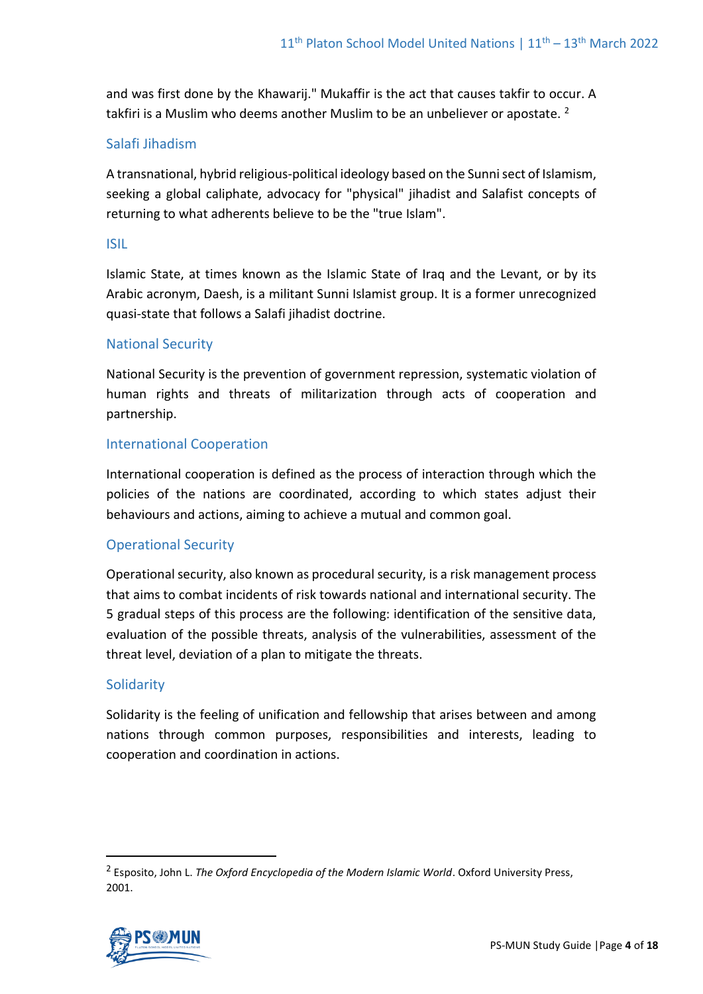and was first done by the Khawarij." Mukaffir is the act that causes takfir to occur. A takfiri is a Muslim who deems another Muslim to be an unbeliever or apostate. <sup>2</sup>

# Salafi Jihadism

A transnational, hybrid religious-political ideology based on the Sunni sect of Islamism, seeking a global caliphate, advocacy for "physical" jihadist and Salafist concepts of returning to what adherents believe to be the "true Islam".

# ISIL

Islamic State, at times known as the Islamic State of Iraq and the Levant, or by its Arabic acronym, Daesh, is a militant Sunni Islamist group. It is a former unrecognized quasi-state that follows a Salafi jihadist doctrine.

## National Security

National Security is the prevention of government repression, systematic violation of human rights and threats of militarization through acts of cooperation and partnership.

## International Cooperation

International cooperation is defined as the process of interaction through which the policies of the nations are coordinated, according to which states adjust their behaviours and actions, aiming to achieve a mutual and common goal.

### Operational Security

Operational security, also known as procedural security, is a risk management process that aims to combat incidents of risk towards national and international security. The 5 gradual steps of this process are the following: identification of the sensitive data, evaluation of the possible threats, analysis of the vulnerabilities, assessment of the threat level, deviation of a plan to mitigate the threats.

### **Solidarity**

Solidarity is the feeling of unification and fellowship that arises between and among nations through common purposes, responsibilities and interests, leading to cooperation and coordination in actions.

<sup>2</sup> Esposito, John L. *The Oxford Encyclopedia of the Modern Islamic World*. Oxford University Press, 2001.

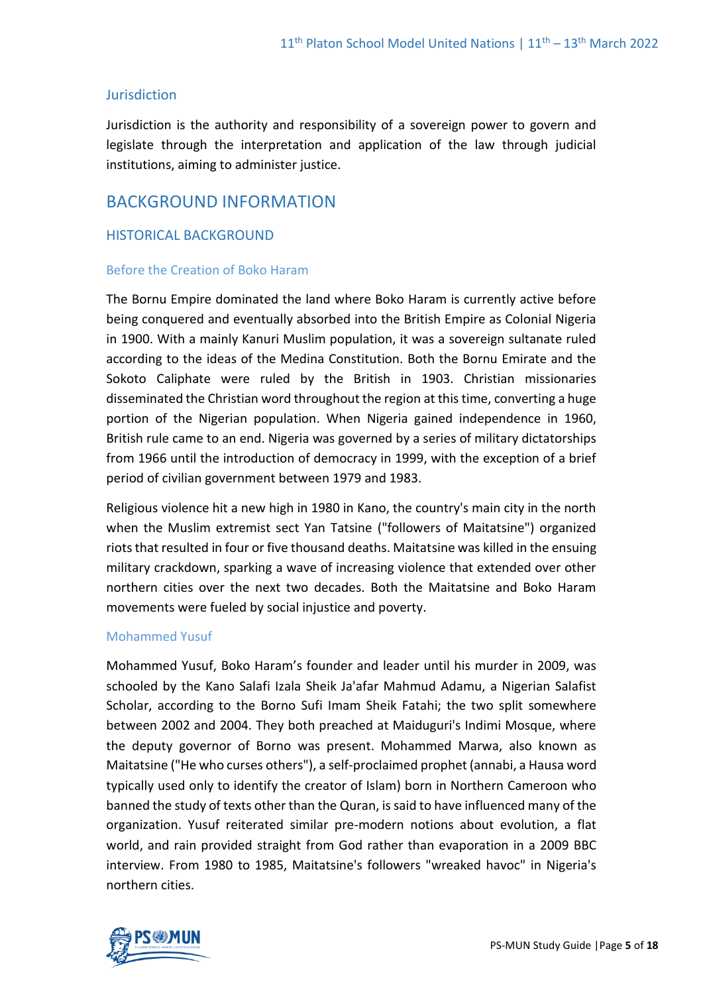# **Jurisdiction**

Jurisdiction is the authority and responsibility of a sovereign power to govern and legislate through the interpretation and application of the law through judicial institutions, aiming to administer justice.

# BACKGROUND INFORMATION

## HISTORICAL BACKGROUND

### Before the Creation of Boko Haram

The Bornu Empire dominated the land where Boko Haram is currently active before being conquered and eventually absorbed into the British Empire as Colonial Nigeria in 1900. With a mainly Kanuri Muslim population, it was a sovereign sultanate ruled according to the ideas of the Medina Constitution. Both the Bornu Emirate and the Sokoto Caliphate were ruled by the British in 1903. Christian missionaries disseminated the Christian word throughout the region at this time, converting a huge portion of the Nigerian population. When Nigeria gained independence in 1960, British rule came to an end. Nigeria was governed by a series of military dictatorships from 1966 until the introduction of democracy in 1999, with the exception of a brief period of civilian government between 1979 and 1983.

Religious violence hit a new high in 1980 in Kano, the country's main city in the north when the Muslim extremist sect Yan Tatsine ("followers of Maitatsine") organized riots that resulted in four or five thousand deaths. Maitatsine was killed in the ensuing military crackdown, sparking a wave of increasing violence that extended over other northern cities over the next two decades. Both the Maitatsine and Boko Haram movements were fueled by social injustice and poverty.

### Mohammed Yusuf

Mohammed Yusuf, Boko Haram's founder and leader until his murder in 2009, was schooled by the Kano Salafi Izala Sheik Ja'afar Mahmud Adamu, a Nigerian Salafist Scholar, according to the Borno Sufi Imam Sheik Fatahi; the two split somewhere between 2002 and 2004. They both preached at Maiduguri's Indimi Mosque, where the deputy governor of Borno was present. Mohammed Marwa, also known as Maitatsine ("He who curses others"), a self-proclaimed prophet (annabi, a Hausa word typically used only to identify the creator of Islam) born in Northern Cameroon who banned the study of texts other than the Quran, is said to have influenced many of the organization. Yusuf reiterated similar pre-modern notions about evolution, a flat world, and rain provided straight from God rather than evaporation in a 2009 BBC interview. From 1980 to 1985, Maitatsine's followers "wreaked havoc" in Nigeria's northern cities.

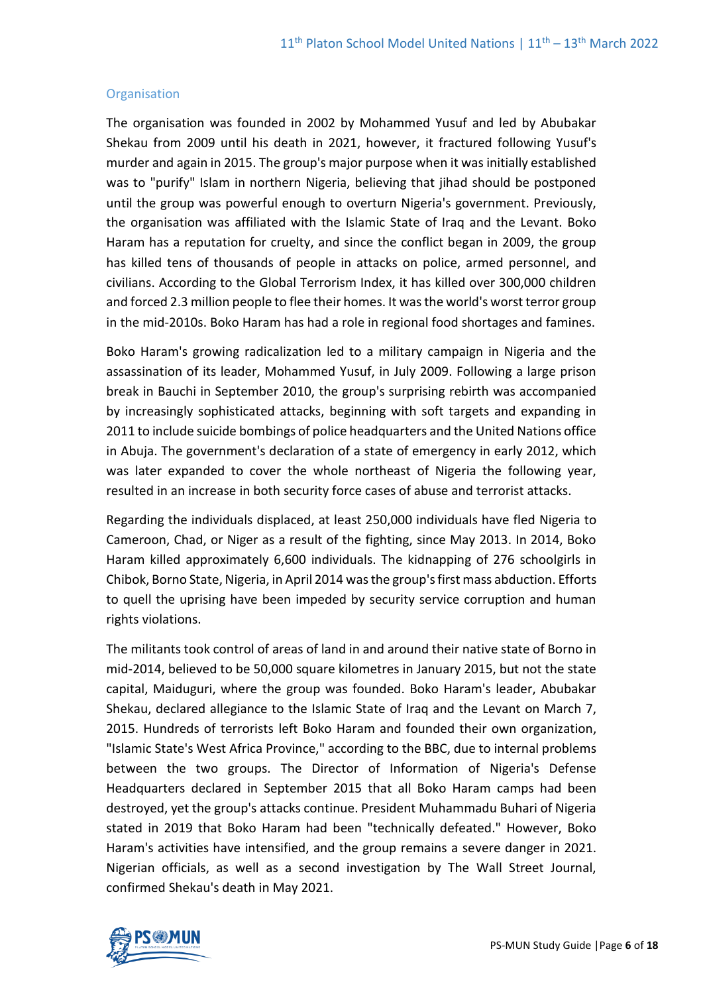## **Organisation**

The organisation was founded in 2002 by Mohammed Yusuf and led by Abubakar Shekau from 2009 until his death in 2021, however, it fractured following Yusuf's murder and again in 2015. The group's major purpose when it was initially established was to "purify" Islam in northern Nigeria, believing that jihad should be postponed until the group was powerful enough to overturn Nigeria's government. Previously, the organisation was affiliated with the Islamic State of Iraq and the Levant. Boko Haram has a reputation for cruelty, and since the conflict began in 2009, the group has killed tens of thousands of people in attacks on police, armed personnel, and civilians. According to the Global Terrorism Index, it has killed over 300,000 children and forced 2.3 million people to flee their homes. It was the world's worst terror group in the mid-2010s. Boko Haram has had a role in regional food shortages and famines.

Boko Haram's growing radicalization led to a military campaign in Nigeria and the assassination of its leader, Mohammed Yusuf, in July 2009. Following a large prison break in Bauchi in September 2010, the group's surprising rebirth was accompanied by increasingly sophisticated attacks, beginning with soft targets and expanding in 2011 to include suicide bombings of police headquarters and the United Nations office in Abuja. The government's declaration of a state of emergency in early 2012, which was later expanded to cover the whole northeast of Nigeria the following year, resulted in an increase in both security force cases of abuse and terrorist attacks.

Regarding the individuals displaced, at least 250,000 individuals have fled Nigeria to Cameroon, Chad, or Niger as a result of the fighting, since May 2013. In 2014, Boko Haram killed approximately 6,600 individuals. The kidnapping of 276 schoolgirls in Chibok, Borno State, Nigeria, in April 2014 was the group's first mass abduction. Efforts to quell the uprising have been impeded by security service corruption and human rights violations.

The militants took control of areas of land in and around their native state of Borno in mid-2014, believed to be 50,000 square kilometres in January 2015, but not the state capital, Maiduguri, where the group was founded. Boko Haram's leader, Abubakar Shekau, declared allegiance to the Islamic State of Iraq and the Levant on March 7, 2015. Hundreds of terrorists left Boko Haram and founded their own organization, "Islamic State's West Africa Province," according to the BBC, due to internal problems between the two groups. The Director of Information of Nigeria's Defense Headquarters declared in September 2015 that all Boko Haram camps had been destroyed, yet the group's attacks continue. President Muhammadu Buhari of Nigeria stated in 2019 that Boko Haram had been "technically defeated." However, Boko Haram's activities have intensified, and the group remains a severe danger in 2021. Nigerian officials, as well as a second investigation by The Wall Street Journal, confirmed Shekau's death in May 2021.

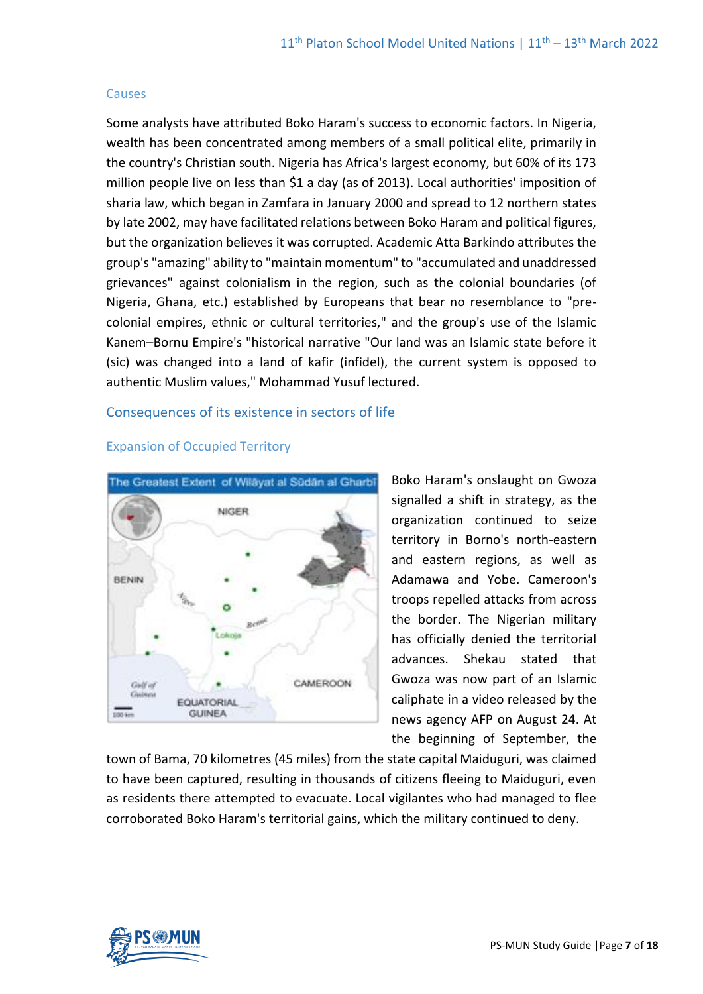#### **Causes**

Some analysts have attributed Boko Haram's success to economic factors. In Nigeria, wealth has been concentrated among members of a small political elite, primarily in the country's Christian south. Nigeria has Africa's largest economy, but 60% of its 173 million people live on less than \$1 a day (as of 2013). Local authorities' imposition of sharia law, which began in Zamfara in January 2000 and spread to 12 northern states by late 2002, may have facilitated relations between Boko Haram and political figures, but the organization believes it was corrupted. Academic Atta Barkindo attributes the group's "amazing" ability to "maintain momentum" to "accumulated and unaddressed grievances" against colonialism in the region, such as the colonial boundaries (of Nigeria, Ghana, etc.) established by Europeans that bear no resemblance to "precolonial empires, ethnic or cultural territories," and the group's use of the Islamic Kanem–Bornu Empire's "historical narrative "Our land was an Islamic state before it (sic) was changed into a land of kafir (infidel), the current system is opposed to authentic Muslim values," Mohammad Yusuf lectured.

## Consequences of its existence in sectors of life



## Expansion of Occupied Territory

Boko Haram's onslaught on Gwoza signalled a shift in strategy, as the organization continued to seize territory in Borno's north-eastern and eastern regions, as well as Adamawa and Yobe. Cameroon's troops repelled attacks from across the border. The Nigerian military has officially denied the territorial advances. Shekau stated that Gwoza was now part of an Islamic caliphate in a video released by the news agency AFP on August 24. At the beginning of September, the

town of Bama, 70 kilometres (45 miles) from the state capital Maiduguri, was claimed to have been captured, resulting in thousands of citizens fleeing to Maiduguri, even as residents there attempted to evacuate. Local vigilantes who had managed to flee corroborated Boko Haram's territorial gains, which the military continued to deny.

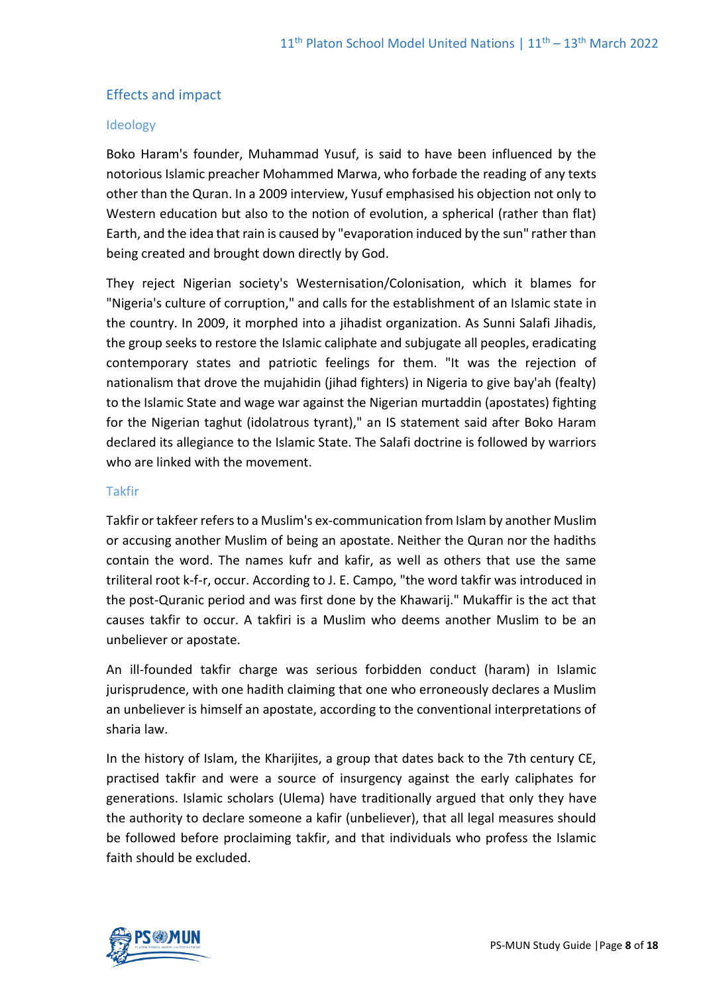# Effects and impact

### Ideology

Boko Haram's founder, Muhammad Yusuf, is said to have been influenced by the notorious Islamic preacher Mohammed Marwa, who forbade the reading of any texts other than the Quran. In a 2009 interview, Yusuf emphasised his objection not only to Western education but also to the notion of evolution, a spherical (rather than flat) Earth, and the idea that rain is caused by "evaporation induced by the sun" rather than being created and brought down directly by God.

They reject Nigerian society's Westernisation/Colonisation, which it blames for "Nigeria's culture of corruption," and calls for the establishment of an Islamic state in the country. In 2009, it morphed into a jihadist organization. As Sunni Salafi Jihadis, the group seeks to restore the Islamic caliphate and subjugate all peoples, eradicating contemporary states and patriotic feelings for them. "It was the rejection of nationalism that drove the mujahidin (jihad fighters) in Nigeria to give bay'ah (fealty) to the Islamic State and wage war against the Nigerian murtaddin (apostates) fighting for the Nigerian taghut (idolatrous tyrant)," an IS statement said after Boko Haram declared its allegiance to the Islamic State. The Salafi doctrine is followed by warriors who are linked with the movement.

### Takfir

Takfir or takfeer refers to a Muslim's ex-communication from Islam by another Muslim or accusing another Muslim of being an apostate. Neither the Quran nor the hadiths contain the word. The names kufr and kafir, as well as others that use the same triliteral root k-f-r, occur. According to J. E. Campo, "the word takfir was introduced in the post-Quranic period and was first done by the Khawarij." Mukaffir is the act that causes takfir to occur. A takfiri is a Muslim who deems another Muslim to be an unbeliever or apostate.

An ill-founded takfir charge was serious forbidden conduct (haram) in Islamic jurisprudence, with one hadith claiming that one who erroneously declares a Muslim an unbeliever is himself an apostate, according to the conventional interpretations of sharia law.

In the history of Islam, the Kharijites, a group that dates back to the 7th century CE, practised takfir and were a source of insurgency against the early caliphates for generations. Islamic scholars (Ulema) have traditionally argued that only they have the authority to declare someone a kafir (unbeliever), that all legal measures should be followed before proclaiming takfir, and that individuals who profess the Islamic faith should be excluded.

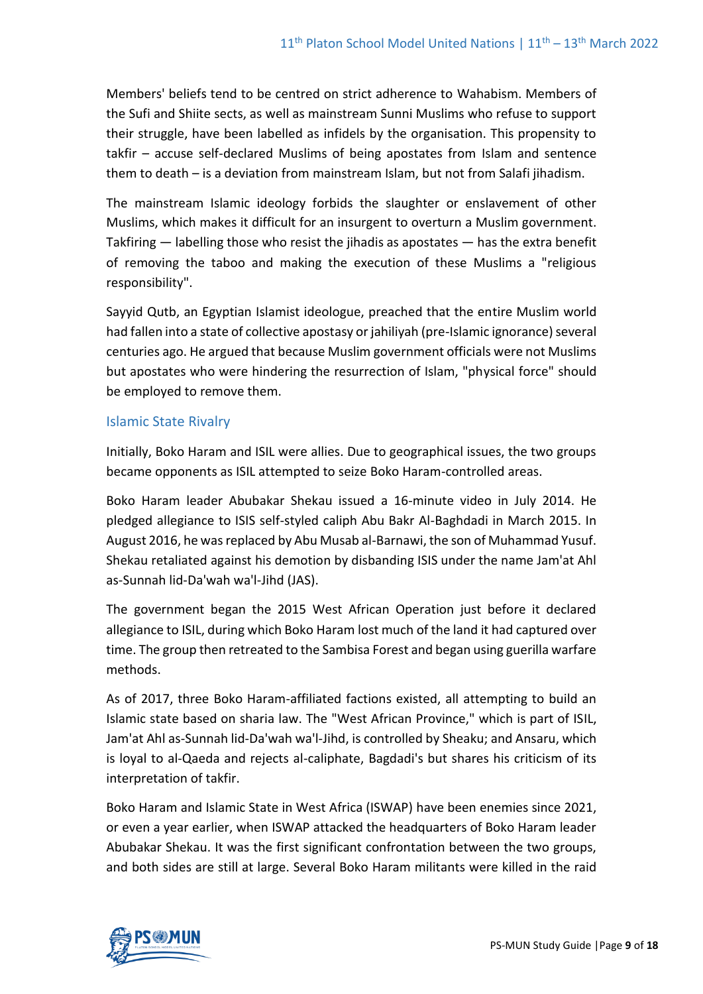Members' beliefs tend to be centred on strict adherence to Wahabism. Members of the Sufi and Shiite sects, as well as mainstream Sunni Muslims who refuse to support their struggle, have been labelled as infidels by the organisation. This propensity to takfir – accuse self-declared Muslims of being apostates from Islam and sentence them to death – is a deviation from mainstream Islam, but not from Salafi jihadism.

The mainstream Islamic ideology forbids the slaughter or enslavement of other Muslims, which makes it difficult for an insurgent to overturn a Muslim government. Takfiring — labelling those who resist the jihadis as apostates — has the extra benefit of removing the taboo and making the execution of these Muslims a "religious responsibility".

Sayyid Qutb, an Egyptian Islamist ideologue, preached that the entire Muslim world had fallen into a state of collective apostasy or jahiliyah (pre-Islamic ignorance) several centuries ago. He argued that because Muslim government officials were not Muslims but apostates who were hindering the resurrection of Islam, "physical force" should be employed to remove them.

# Islamic State Rivalry

Initially, Boko Haram and ISIL were allies. Due to geographical issues, the two groups became opponents as ISIL attempted to seize Boko Haram-controlled areas.

Boko Haram leader Abubakar Shekau issued a 16-minute video in July 2014. He pledged allegiance to ISIS self-styled caliph Abu Bakr Al-Baghdadi in March 2015. In August 2016, he was replaced by Abu Musab al-Barnawi, the son of Muhammad Yusuf. Shekau retaliated against his demotion by disbanding ISIS under the name Jam'at Ahl as-Sunnah lid-Da'wah wa'l-Jihd (JAS).

The government began the 2015 West African Operation just before it declared allegiance to ISIL, during which Boko Haram lost much of the land it had captured over time. The group then retreated to the Sambisa Forest and began using guerilla warfare methods.

As of 2017, three Boko Haram-affiliated factions existed, all attempting to build an Islamic state based on sharia law. The "West African Province," which is part of ISIL, Jam'at Ahl as-Sunnah lid-Da'wah wa'l-Jihd, is controlled by Sheaku; and Ansaru, which is loyal to al-Qaeda and rejects al-caliphate, Bagdadi's but shares his criticism of its interpretation of takfir.

Boko Haram and Islamic State in West Africa (ISWAP) have been enemies since 2021, or even a year earlier, when ISWAP attacked the headquarters of Boko Haram leader Abubakar Shekau. It was the first significant confrontation between the two groups, and both sides are still at large. Several Boko Haram militants were killed in the raid

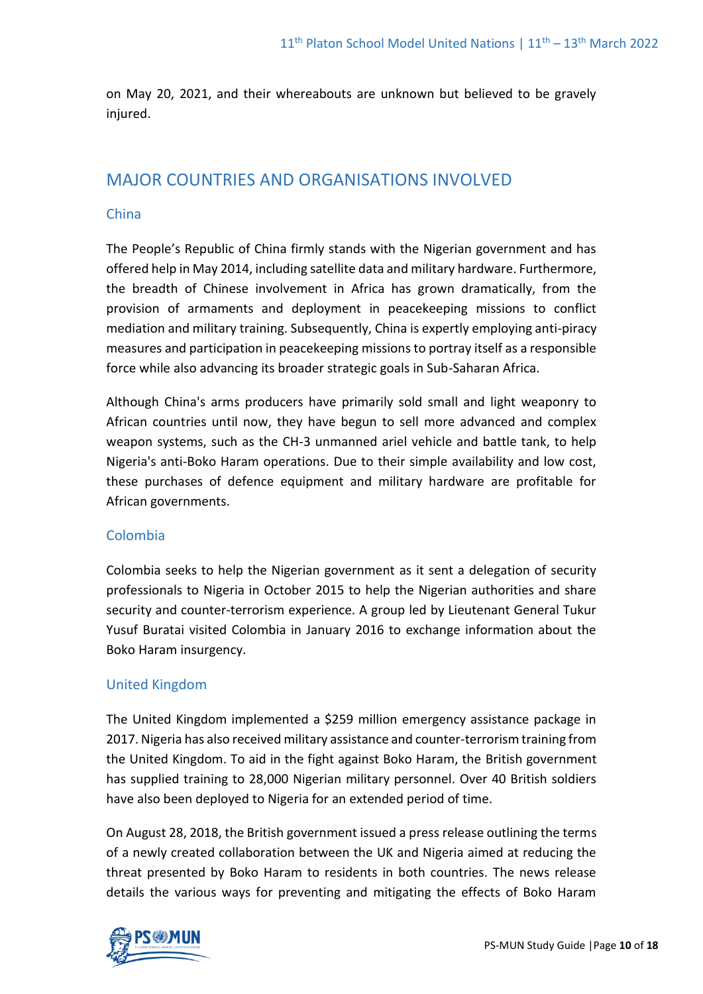on May 20, 2021, and their whereabouts are unknown but believed to be gravely injured.

# MAJOR COUNTRIES AND ORGANISATIONS INVOLVED

## China

The People's Republic of China firmly stands with the Nigerian government and has offered help in May 2014, including satellite data and military hardware. Furthermore, the breadth of Chinese involvement in Africa has grown dramatically, from the provision of armaments and deployment in peacekeeping missions to conflict mediation and military training. Subsequently, China is expertly employing anti-piracy measures and participation in peacekeeping missions to portray itself as a responsible force while also advancing its broader strategic goals in Sub-Saharan Africa.

Although China's arms producers have primarily sold small and light weaponry to African countries until now, they have begun to sell more advanced and complex weapon systems, such as the CH-3 unmanned ariel vehicle and battle tank, to help Nigeria's anti-Boko Haram operations. Due to their simple availability and low cost, these purchases of defence equipment and military hardware are profitable for African governments.

# Colombia

Colombia seeks to help the Nigerian government as it sent a delegation of security professionals to Nigeria in October 2015 to help the Nigerian authorities and share security and counter-terrorism experience. A group led by Lieutenant General Tukur Yusuf Buratai visited Colombia in January 2016 to exchange information about the Boko Haram insurgency.

# United Kingdom

The United Kingdom implemented a \$259 million emergency assistance package in 2017. Nigeria has also received military assistance and counter-terrorism training from the United Kingdom. To aid in the fight against Boko Haram, the British government has supplied training to 28,000 Nigerian military personnel. Over 40 British soldiers have also been deployed to Nigeria for an extended period of time.

On August 28, 2018, the British government issued a press release outlining the terms of a newly created collaboration between the UK and Nigeria aimed at reducing the threat presented by Boko Haram to residents in both countries. The news release details the various ways for preventing and mitigating the effects of Boko Haram

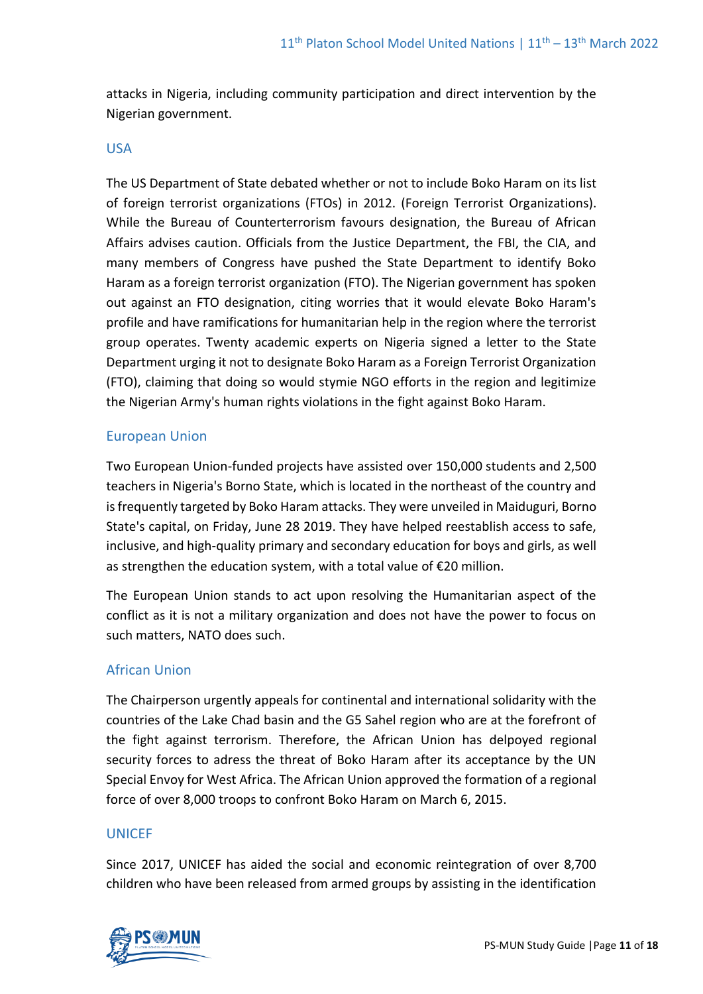attacks in Nigeria, including community participation and direct intervention by the Nigerian government.

### USA

The US Department of State debated whether or not to include Boko Haram on its list of foreign terrorist organizations (FTOs) in 2012. (Foreign Terrorist Organizations). While the Bureau of Counterterrorism favours designation, the Bureau of African Affairs advises caution. Officials from the Justice Department, the FBI, the CIA, and many members of Congress have pushed the State Department to identify Boko Haram as a foreign terrorist organization (FTO). The Nigerian government has spoken out against an FTO designation, citing worries that it would elevate Boko Haram's profile and have ramifications for humanitarian help in the region where the terrorist group operates. Twenty academic experts on Nigeria signed a letter to the State Department urging it not to designate Boko Haram as a Foreign Terrorist Organization (FTO), claiming that doing so would stymie NGO efforts in the region and legitimize the Nigerian Army's human rights violations in the fight against Boko Haram.

# European Union

Two European Union-funded projects have assisted over 150,000 students and 2,500 teachers in Nigeria's Borno State, which is located in the northeast of the country and is frequently targeted by Boko Haram attacks. They were unveiled in Maiduguri, Borno State's capital, on Friday, June 28 2019. They have helped reestablish access to safe, inclusive, and high-quality primary and secondary education for boys and girls, as well as strengthen the education system, with a total value of €20 million.

The European Union stands to act upon resolving the Humanitarian aspect of the conflict as it is not a military organization and does not have the power to focus on such matters, NATO does such.

# African Union

The Chairperson urgently appeals for continental and international solidarity with the countries of the Lake Chad basin and the G5 Sahel region who are at the forefront of the fight against terrorism. Therefore, the African Union has delpoyed regional security forces to adress the threat of Boko Haram after its acceptance by the UN Special Envoy for West Africa. The African Union approved the formation of a regional force of over 8,000 troops to confront Boko Haram on March 6, 2015.

### UNICEF

Since 2017, UNICEF has aided the social and economic reintegration of over 8,700 children who have been released from armed groups by assisting in the identification

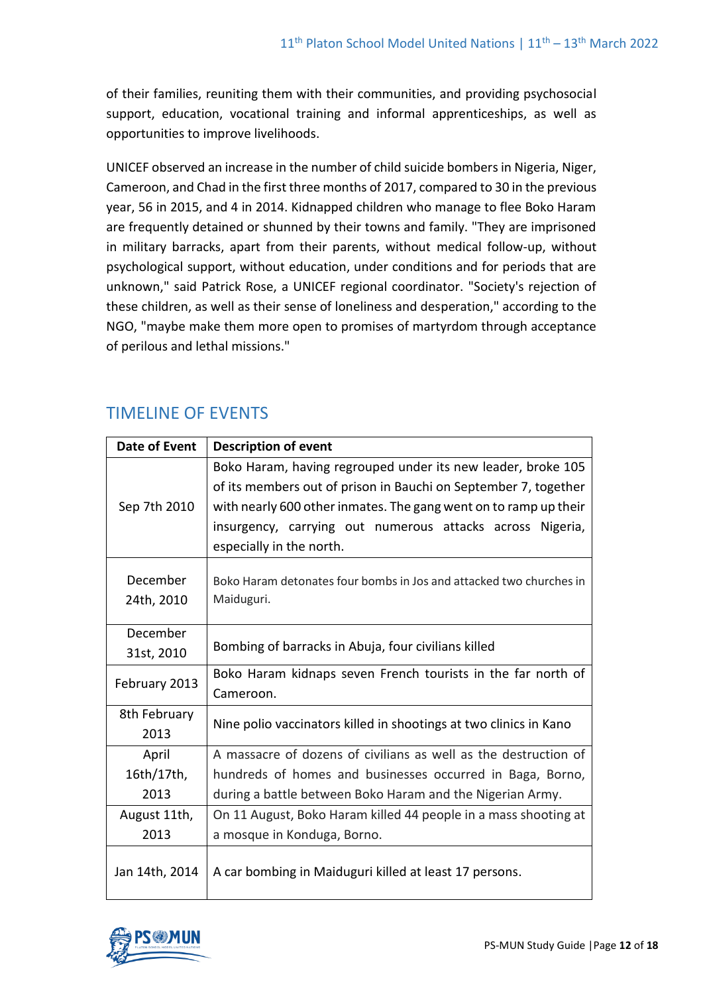of their families, reuniting them with their communities, and providing psychosocial support, education, vocational training and informal apprenticeships, as well as opportunities to improve livelihoods.

UNICEF observed an increase in the number of child suicide bombers in Nigeria, Niger, Cameroon, and Chad in the first three months of 2017, compared to 30 in the previous year, 56 in 2015, and 4 in 2014. Kidnapped children who manage to flee Boko Haram are frequently detained or shunned by their towns and family. "They are imprisoned in military barracks, apart from their parents, without medical follow-up, without psychological support, without education, under conditions and for periods that are unknown," said Patrick Rose, a UNICEF regional coordinator. "Society's rejection of these children, as well as their sense of loneliness and desperation," according to the NGO, "maybe make them more open to promises of martyrdom through acceptance of perilous and lethal missions."

# TIMELINE OF EVENTS

| Date of Event  | <b>Description of event</b>                                         |
|----------------|---------------------------------------------------------------------|
| Sep 7th 2010   | Boko Haram, having regrouped under its new leader, broke 105        |
|                | of its members out of prison in Bauchi on September 7, together     |
|                | with nearly 600 other inmates. The gang went on to ramp up their    |
|                | insurgency, carrying out numerous attacks across Nigeria,           |
|                | especially in the north.                                            |
| December       | Boko Haram detonates four bombs in Jos and attacked two churches in |
| 24th, 2010     | Maiduguri.                                                          |
| December       |                                                                     |
| 31st, 2010     | Bombing of barracks in Abuja, four civilians killed                 |
| February 2013  | Boko Haram kidnaps seven French tourists in the far north of        |
|                | Cameroon.                                                           |
| 8th February   | Nine polio vaccinators killed in shootings at two clinics in Kano   |
| 2013           |                                                                     |
| April          | A massacre of dozens of civilians as well as the destruction of     |
| 16th/17th,     | hundreds of homes and businesses occurred in Baga, Borno,           |
| 2013           | during a battle between Boko Haram and the Nigerian Army.           |
| August 11th,   | On 11 August, Boko Haram killed 44 people in a mass shooting at     |
| 2013           | a mosque in Konduga, Borno.                                         |
| Jan 14th, 2014 | A car bombing in Maiduguri killed at least 17 persons.              |

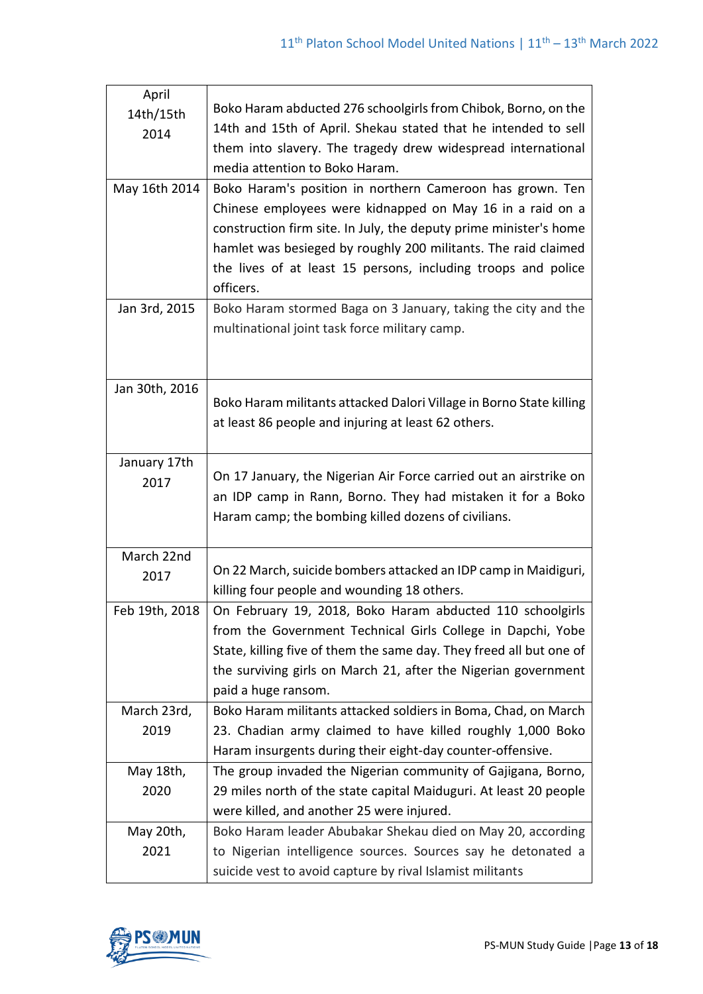| April<br>14th/15th<br>2014<br>May 16th 2014 | Boko Haram abducted 276 schoolgirls from Chibok, Borno, on the<br>14th and 15th of April. Shekau stated that he intended to sell<br>them into slavery. The tragedy drew widespread international<br>media attention to Boko Haram.<br>Boko Haram's position in northern Cameroon has grown. Ten<br>Chinese employees were kidnapped on May 16 in a raid on a<br>construction firm site. In July, the deputy prime minister's home<br>hamlet was besieged by roughly 200 militants. The raid claimed<br>the lives of at least 15 persons, including troops and police<br>officers. |
|---------------------------------------------|-----------------------------------------------------------------------------------------------------------------------------------------------------------------------------------------------------------------------------------------------------------------------------------------------------------------------------------------------------------------------------------------------------------------------------------------------------------------------------------------------------------------------------------------------------------------------------------|
| Jan 3rd, 2015                               | Boko Haram stormed Baga on 3 January, taking the city and the<br>multinational joint task force military camp.                                                                                                                                                                                                                                                                                                                                                                                                                                                                    |
| Jan 30th, 2016                              | Boko Haram militants attacked Dalori Village in Borno State killing<br>at least 86 people and injuring at least 62 others.                                                                                                                                                                                                                                                                                                                                                                                                                                                        |
| January 17th<br>2017                        | On 17 January, the Nigerian Air Force carried out an airstrike on<br>an IDP camp in Rann, Borno. They had mistaken it for a Boko<br>Haram camp; the bombing killed dozens of civilians.                                                                                                                                                                                                                                                                                                                                                                                           |
| March 22nd<br>2017                          | On 22 March, suicide bombers attacked an IDP camp in Maidiguri,<br>killing four people and wounding 18 others.                                                                                                                                                                                                                                                                                                                                                                                                                                                                    |
| Feb 19th, 2018                              | On February 19, 2018, Boko Haram abducted 110 schoolgirls<br>from the Government Technical Girls College in Dapchi, Yobe<br>State, killing five of them the same day. They freed all but one of<br>the surviving girls on March 21, after the Nigerian government<br>paid a huge ransom.                                                                                                                                                                                                                                                                                          |
| March 23rd,<br>2019                         | Boko Haram militants attacked soldiers in Boma, Chad, on March<br>23. Chadian army claimed to have killed roughly 1,000 Boko<br>Haram insurgents during their eight-day counter-offensive.                                                                                                                                                                                                                                                                                                                                                                                        |
| May 18th,<br>2020                           | The group invaded the Nigerian community of Gajigana, Borno,<br>29 miles north of the state capital Maiduguri. At least 20 people<br>were killed, and another 25 were injured.                                                                                                                                                                                                                                                                                                                                                                                                    |
| May 20th,<br>2021                           | Boko Haram leader Abubakar Shekau died on May 20, according<br>to Nigerian intelligence sources. Sources say he detonated a<br>suicide vest to avoid capture by rival Islamist militants                                                                                                                                                                                                                                                                                                                                                                                          |

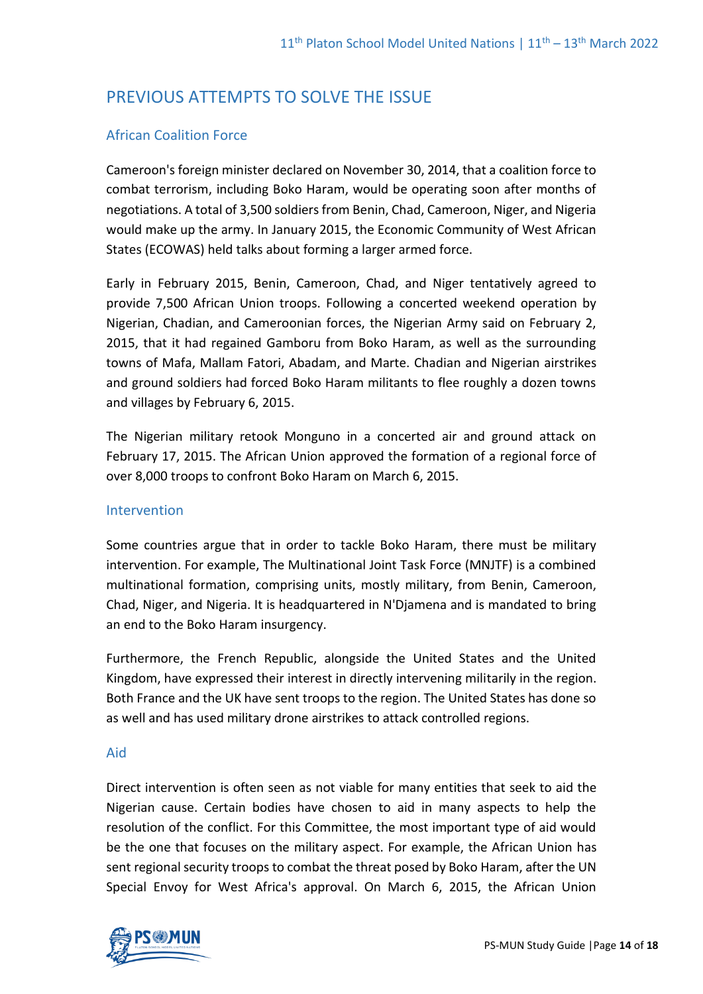# PREVIOUS ATTEMPTS TO SOLVE THE ISSUE

# African Coalition Force

Cameroon's foreign minister declared on November 30, 2014, that a coalition force to combat terrorism, including Boko Haram, would be operating soon after months of negotiations. A total of 3,500 soldiers from Benin, Chad, Cameroon, Niger, and Nigeria would make up the army. In January 2015, the Economic Community of West African States (ECOWAS) held talks about forming a larger armed force.

Early in February 2015, Benin, Cameroon, Chad, and Niger tentatively agreed to provide 7,500 African Union troops. Following a concerted weekend operation by Nigerian, Chadian, and Cameroonian forces, the Nigerian Army said on February 2, 2015, that it had regained Gamboru from Boko Haram, as well as the surrounding towns of Mafa, Mallam Fatori, Abadam, and Marte. Chadian and Nigerian airstrikes and ground soldiers had forced Boko Haram militants to flee roughly a dozen towns and villages by February 6, 2015.

The Nigerian military retook Monguno in a concerted air and ground attack on February 17, 2015. The African Union approved the formation of a regional force of over 8,000 troops to confront Boko Haram on March 6, 2015.

# Intervention

Some countries argue that in order to tackle Boko Haram, there must be military intervention. For example, The Multinational Joint Task Force (MNJTF) is a combined multinational formation, comprising units, mostly military, from Benin, Cameroon, Chad, Niger, and Nigeria. It is headquartered in N'Djamena and is mandated to bring an end to the Boko Haram insurgency.

Furthermore, the French Republic, alongside the United States and the United Kingdom, have expressed their interest in directly intervening militarily in the region. Both France and the UK have sent troops to the region. The United States has done so as well and has used military drone airstrikes to attack controlled regions.

### Aid

Direct intervention is often seen as not viable for many entities that seek to aid the Nigerian cause. Certain bodies have chosen to aid in many aspects to help the resolution of the conflict. For this Committee, the most important type of aid would be the one that focuses on the military aspect. For example, the African Union has sent regional security troops to combat the threat posed by Boko Haram, after the UN Special Envoy for West Africa's approval. On March 6, 2015, the African Union

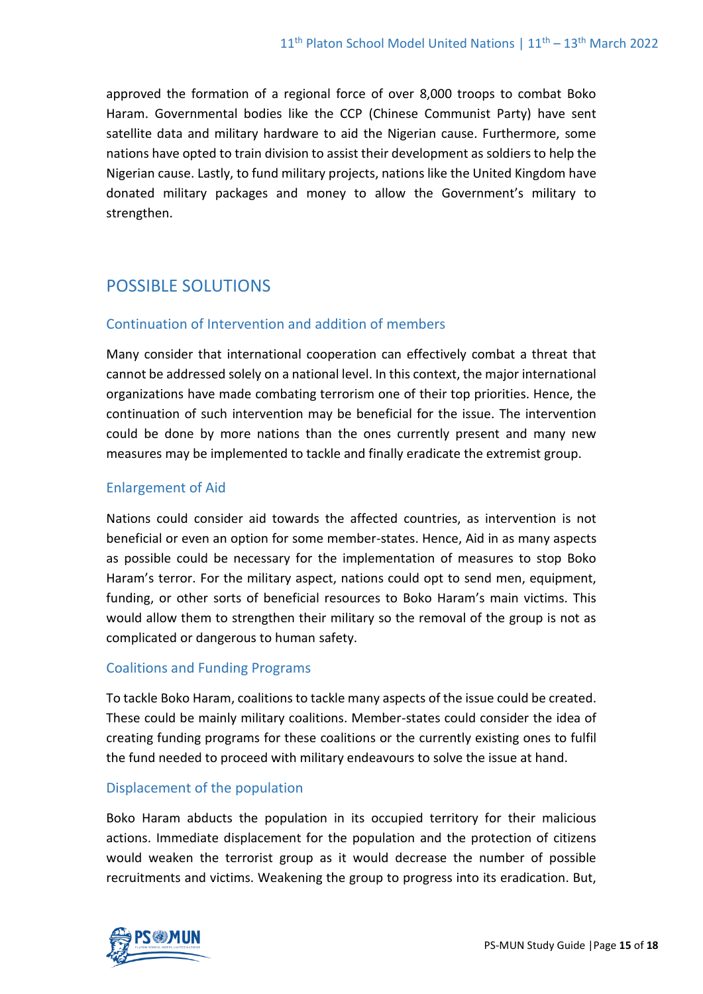approved the formation of a regional force of over 8,000 troops to combat Boko Haram. Governmental bodies like the CCP (Chinese Communist Party) have sent satellite data and military hardware to aid the Nigerian cause. Furthermore, some nations have opted to train division to assist their development as soldiers to help the Nigerian cause. Lastly, to fund military projects, nations like the United Kingdom have donated military packages and money to allow the Government's military to strengthen.

# POSSIBLE SOLUTIONS

# Continuation of Intervention and addition of members

Many consider that international cooperation can effectively combat a threat that cannot be addressed solely on a national level. In this context, the major international organizations have made combating terrorism one of their top priorities. Hence, the continuation of such intervention may be beneficial for the issue. The intervention could be done by more nations than the ones currently present and many new measures may be implemented to tackle and finally eradicate the extremist group.

# Enlargement of Aid

Nations could consider aid towards the affected countries, as intervention is not beneficial or even an option for some member-states. Hence, Aid in as many aspects as possible could be necessary for the implementation of measures to stop Boko Haram's terror. For the military aspect, nations could opt to send men, equipment, funding, or other sorts of beneficial resources to Boko Haram's main victims. This would allow them to strengthen their military so the removal of the group is not as complicated or dangerous to human safety.

# Coalitions and Funding Programs

To tackle Boko Haram, coalitions to tackle many aspects of the issue could be created. These could be mainly military coalitions. Member-states could consider the idea of creating funding programs for these coalitions or the currently existing ones to fulfil the fund needed to proceed with military endeavours to solve the issue at hand.

# Displacement of the population

Boko Haram abducts the population in its occupied territory for their malicious actions. Immediate displacement for the population and the protection of citizens would weaken the terrorist group as it would decrease the number of possible recruitments and victims. Weakening the group to progress into its eradication. But,

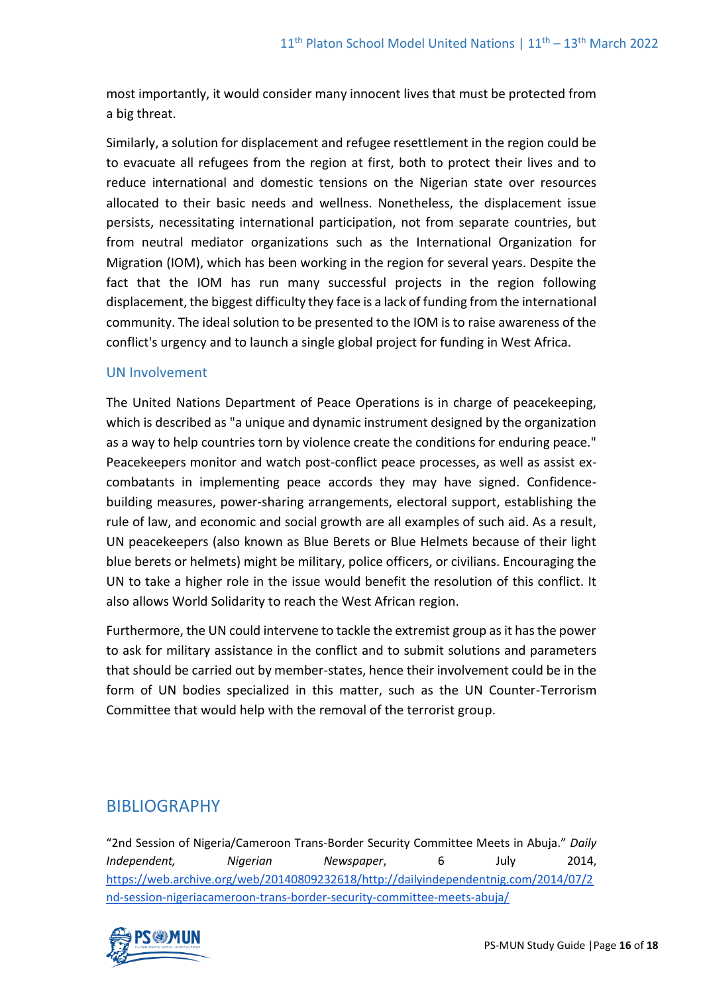most importantly, it would consider many innocent lives that must be protected from a big threat.

Similarly, a solution for displacement and refugee resettlement in the region could be to evacuate all refugees from the region at first, both to protect their lives and to reduce international and domestic tensions on the Nigerian state over resources allocated to their basic needs and wellness. Nonetheless, the displacement issue persists, necessitating international participation, not from separate countries, but from neutral mediator organizations such as the International Organization for Migration (IOM), which has been working in the region for several years. Despite the fact that the IOM has run many successful projects in the region following displacement, the biggest difficulty they face is a lack of funding from the international community. The ideal solution to be presented to the IOM is to raise awareness of the conflict's urgency and to launch a single global project for funding in West Africa.

# UN Involvement

The United Nations Department of Peace Operations is in charge of peacekeeping, which is described as "a unique and dynamic instrument designed by the organization as a way to help countries torn by violence create the conditions for enduring peace." Peacekeepers monitor and watch post-conflict peace processes, as well as assist excombatants in implementing peace accords they may have signed. Confidencebuilding measures, power-sharing arrangements, electoral support, establishing the rule of law, and economic and social growth are all examples of such aid. As a result, UN peacekeepers (also known as Blue Berets or Blue Helmets because of their light blue berets or helmets) might be military, police officers, or civilians. Encouraging the UN to take a higher role in the issue would benefit the resolution of this conflict. It also allows World Solidarity to reach the West African region.

Furthermore, the UN could intervene to tackle the extremist group as it has the power to ask for military assistance in the conflict and to submit solutions and parameters that should be carried out by member-states, hence their involvement could be in the form of UN bodies specialized in this matter, such as the UN Counter-Terrorism Committee that would help with the removal of the terrorist group.

# BIBLIOGRAPHY

"2nd Session of Nigeria/Cameroon Trans-Border Security Committee Meets in Abuja." *Daily Independent, Nigerian Newspaper*, 6 July 2014, [https://web.archive.org/web/20140809232618/http://dailyindependentnig.com/2014/07/2](https://web.archive.org/web/20140809232618/http:/dailyindependentnig.com/2014/07/2nd-session-nigeriacameroon-trans-border-security-committee-meets-abuja/) [nd-session-nigeriacameroon-trans-border-security-committee-meets-abuja/](https://web.archive.org/web/20140809232618/http:/dailyindependentnig.com/2014/07/2nd-session-nigeriacameroon-trans-border-security-committee-meets-abuja/)

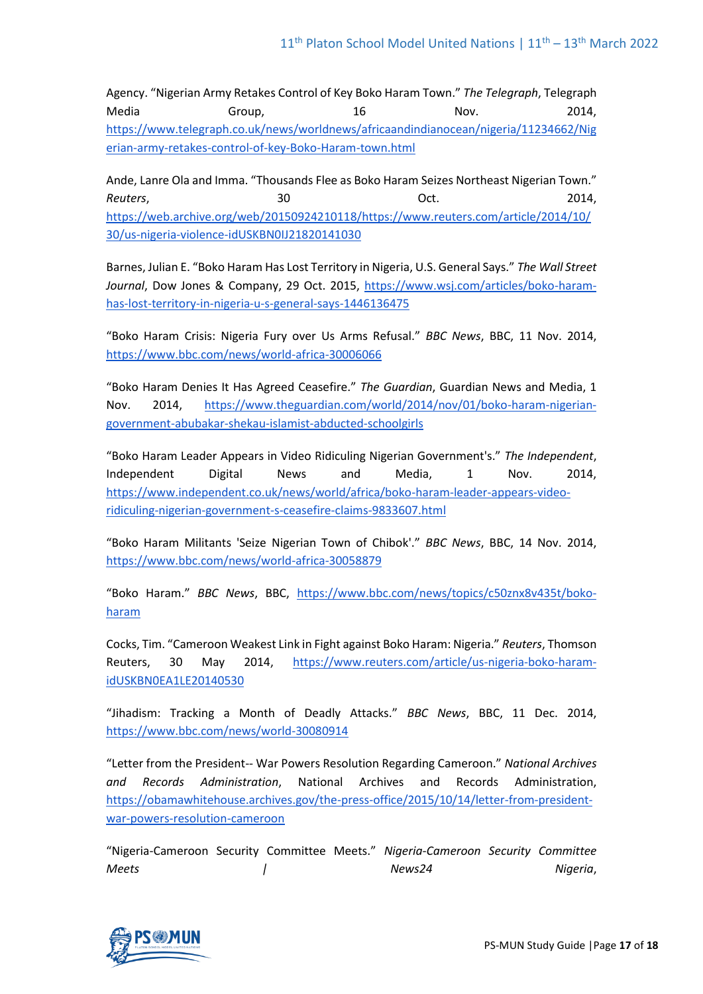Agency. "Nigerian Army Retakes Control of Key Boko Haram Town." *The Telegraph*, Telegraph Media Group, 16 Nov. 2014, [https://www.telegraph.co.uk/news/worldnews/africaandindianocean/nigeria/11234662/Nig](https://www.telegraph.co.uk/news/worldnews/africaandindianocean/nigeria/11234662/Nigerian-army-retakes-control-of-key-Boko-Haram-town.html) [erian-army-retakes-control-of-key-Boko-Haram-town.html](https://www.telegraph.co.uk/news/worldnews/africaandindianocean/nigeria/11234662/Nigerian-army-retakes-control-of-key-Boko-Haram-town.html)

Ande, Lanre Ola and Imma. "Thousands Flee as Boko Haram Seizes Northeast Nigerian Town." *Reuters*, 2014, 2014, 2015 [https://web.archive.org/web/20150924210118/https://www.reuters.com/article/2014/10/](https://web.archive.org/web/20150924210118/https:/www.reuters.com/article/2014/10/30/us-nigeria-violence-idUSKBN0IJ21820141030) [30/us-nigeria-violence-idUSKBN0IJ21820141030](https://web.archive.org/web/20150924210118/https:/www.reuters.com/article/2014/10/30/us-nigeria-violence-idUSKBN0IJ21820141030)

Barnes, Julian E. "Boko Haram Has Lost Territory in Nigeria, U.S. General Says." *The Wall Street Journal*, Dow Jones & Company, 29 Oct. 2015, [https://www.wsj.com/articles/boko-haram](https://www.wsj.com/articles/boko-haram-has-lost-territory-in-nigeria-u-s-general-says-1446136475)[has-lost-territory-in-nigeria-u-s-general-says-1446136475](https://www.wsj.com/articles/boko-haram-has-lost-territory-in-nigeria-u-s-general-says-1446136475)

"Boko Haram Crisis: Nigeria Fury over Us Arms Refusal." *BBC News*, BBC, 11 Nov. 2014, <https://www.bbc.com/news/world-africa-30006066>

"Boko Haram Denies It Has Agreed Ceasefire." *The Guardian*, Guardian News and Media, 1 Nov. 2014, [https://www.theguardian.com/world/2014/nov/01/boko-haram-nigerian](https://www.theguardian.com/world/2014/nov/01/boko-haram-nigerian-government-abubakar-shekau-islamist-abducted-schoolgirls)[government-abubakar-shekau-islamist-abducted-schoolgirls](https://www.theguardian.com/world/2014/nov/01/boko-haram-nigerian-government-abubakar-shekau-islamist-abducted-schoolgirls)

"Boko Haram Leader Appears in Video Ridiculing Nigerian Government's." *The Independent*, Independent Digital News and Media, 1 Nov. 2014, [https://www.independent.co.uk/news/world/africa/boko-haram-leader-appears-video](https://www.independent.co.uk/news/world/africa/boko-haram-leader-appears-video-ridiculing-nigerian-government-s-ceasefire-claims-9833607.html)[ridiculing-nigerian-government-s-ceasefire-claims-9833607.html](https://www.independent.co.uk/news/world/africa/boko-haram-leader-appears-video-ridiculing-nigerian-government-s-ceasefire-claims-9833607.html)

"Boko Haram Militants 'Seize Nigerian Town of Chibok'." *BBC News*, BBC, 14 Nov. 2014, <https://www.bbc.com/news/world-africa-30058879>

"Boko Haram." *BBC News*, BBC, [https://www.bbc.com/news/topics/c50znx8v435t/boko](https://www.bbc.com/news/topics/c50znx8v435t/boko-haram)[haram](https://www.bbc.com/news/topics/c50znx8v435t/boko-haram)

Cocks, Tim. "Cameroon Weakest Link in Fight against Boko Haram: Nigeria." *Reuters*, Thomson Reuters, 30 May 2014, [https://www.reuters.com/article/us-nigeria-boko-haram](https://www.reuters.com/article/us-nigeria-boko-haram-idUSKBN0EA1LE20140530)[idUSKBN0EA1LE20140530](https://www.reuters.com/article/us-nigeria-boko-haram-idUSKBN0EA1LE20140530)

"Jihadism: Tracking a Month of Deadly Attacks." *BBC News*, BBC, 11 Dec. 2014, <https://www.bbc.com/news/world-30080914>

"Letter from the President-- War Powers Resolution Regarding Cameroon." *National Archives and Records Administration*, National Archives and Records Administration, [https://obamawhitehouse.archives.gov/the-press-office/2015/10/14/letter-from-president](https://obamawhitehouse.archives.gov/the-press-office/2015/10/14/letter-from-president-war-powers-resolution-cameroon)[war-powers-resolution-cameroon](https://obamawhitehouse.archives.gov/the-press-office/2015/10/14/letter-from-president-war-powers-resolution-cameroon)

"Nigeria-Cameroon Security Committee Meets." *Nigeria-Cameroon Security Committee Meets | News24 Nigeria*,